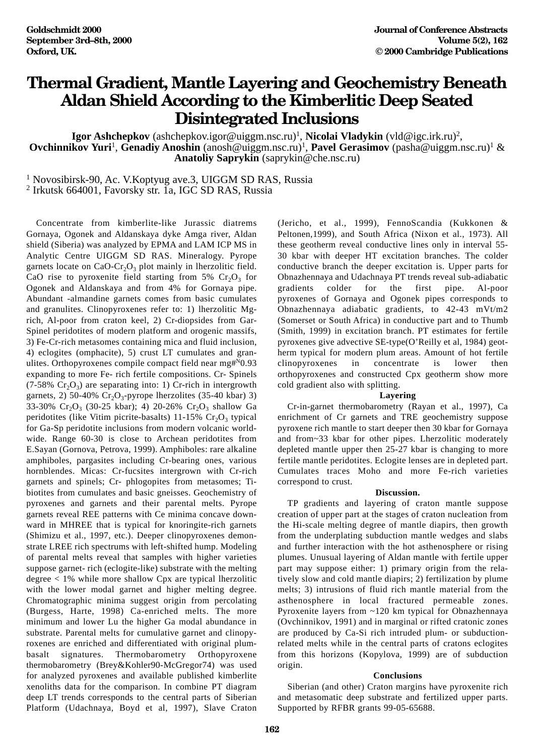## **Thermal Gradient, Mantle Layering and Geochemistry Beneath Aldan Shield According to the Kimberlitic Deep Seated Disintegrated Inclusions**

**Igor Ashchepkov** (ashchepkov.igor@uiggm.nsc.ru)1 , **Nicolai Vladykin** (vld@igc.irk.ru)2, **Ovchinnikov Yuri<sup>1</sup>, Genadiy Anoshin** (anosh@uiggm.nsc.ru)<sup>1</sup>, Pavel Gerasimov (pasha@uiggm.nsc.ru)<sup>1</sup> & **Anatoliy Saprykin** (saprykin@che.nsc.ru)

<sup>1</sup> Novosibirsk-90, Ac. V.Koptyug ave.3, UIGGM SD RAS, Russia

<sup>2</sup> Irkutsk 664001, Favorsky str. 1a, IGC SD RAS, Russia

Concentrate from kimberlite-like Jurassic diatrems Gornaya, Ogonek and Aldanskaya dyke Amga river, Aldan shield (Siberia) was analyzed by EPMA and LAM ICP MS in Analytic Centre UIGGM SD RAS. Mineralogy. Pyrope garnets locate on  $CaO-Cr<sub>2</sub>O<sub>3</sub>$  plot mainly in lherzolitic field. CaO rise to pyroxenite field starting from  $5\%$  Cr<sub>2</sub>O<sub>3</sub> for Ogonek and Aldanskaya and from 4% for Gornaya pipe. Abundant -almandine garnets comes from basic cumulates and granulites. Clinopyroxenes refer to: 1) lherzolitic Mgrich, Al-poor from craton keel, 2) Cr-diopsides from Gar-Spinel peridotites of modern platform and orogenic massifs, 3) Fe-Cr-rich metasomes containing mica and fluid inclusion, 4) eclogites (omphacite), 5) crust LT cumulates and granulites. Orthopyroxenes compile compact field near mg#N0.93 expanding to more Fe- rich fertile compositions. Cr- Spinels  $(7-58\% \, \text{Cr}_2\text{O}_3)$  are separating into: 1) Cr-rich in intergrowth garnets, 2) 50-40%  $Cr_2O_3$ -pyrope lherzolites (35-40 kbar) 3) 33-30%  $Cr_2O_3$  (30-25 kbar); 4) 20-26%  $Cr_2O_3$  shallow Ga peridotites (like Vitim picrite-basalts) 11-15%  $Cr_2O_3$  typical for Ga-Sp peridotite inclusions from modern volcanic worldwide. Range 60-30 is close to Archean peridotites from E.Sayan (Gornova, Petrova, 1999). Amphiboles: rare alkaline amphiboles, pargasites including Cr-bearing ones, various hornblendes. Micas: Cr-fucsites intergrown with Cr-rich garnets and spinels; Cr- phlogopites from metasomes; Tibiotites from cumulates and basic gneisses. Geochemistry of pyroxenes and garnets and their parental melts. Pyrope garnets reveal REE patterns with Ce minima concave downward in MHREE that is typical for knoringite-rich garnets (Shimizu et al., 1997, etc.). Deeper clinopyroxenes demonstrate LREE rich spectrums with left-shifted hump. Modeling of parental melts reveal that samples with higher varieties suppose garnet- rich (eclogite-like) substrate with the melting degree  $<$  1% while more shallow Cpx are typical lherzolitic with the lower modal garnet and higher melting degree. Chromatographic minima suggest origin from percolating (Burgess, Harte, 1998) Ca-enriched melts. The more minimum and lower Lu the higher Ga modal abundance in substrate. Parental melts for cumulative garnet and clinopyroxenes are enriched and differentiated with original plumbasalt signatures. Thermobarometry Orthopyroxene thermobarometry (Brey&Kohler90-McGregor74) was used for analyzed pyroxenes and available published kimberlite xenoliths data for the comparison. In combine PT diagram deep LT trends corresponds to the central parts of Siberian Platform (Udachnaya, Boyd et al, 1997), Slave Craton

(Jericho, et al., 1999), FennoScandia (Kukkonen & Peltonen,1999), and South Africa (Nixon et al., 1973). All these geotherm reveal conductive lines only in interval 55- 30 kbar with deeper HT excitation branches. The colder conductive branch the deeper excitation is. Upper parts for Obnazhennaya and Udachnaya PT trends reveal sub-adiabatic gradients colder for the first pipe. Al-poor pyroxenes of Gornaya and Ogonek pipes corresponds to Obnazhennaya adiabatic gradients, to 42-43 mVt/m2 (Somerset or South Africa) in conductive part and to Thumb (Smith, 1999) in excitation branch. PT estimates for fertile pyroxenes give advective SE-type(O'Reilly et al, 1984) geotherm typical for modern plum areas. Amount of hot fertile clinopyroxenes in concentrate is lower then orthopyroxenes and constructed Cpx geotherm show more cold gradient also with splitting.

## **Layering**

Cr-in-garnet thermobarometry (Rayan et al., 1997), Ca enrichment of Cr garnets and TRE geochemistry suppose pyroxene rich mantle to start deeper then 30 kbar for Gornaya and from~33 kbar for other pipes. Lherzolitic moderately depleted mantle upper then 25-27 kbar is changing to more fertile mantle peridotites. Eclogite lenses are in depleted part. Cumulates traces Moho and more Fe-rich varieties correspond to crust.

## **Discussion.**

TP gradients and layering of craton mantle suppose creation of upper part at the stages of craton nucleation from the Hi-scale melting degree of mantle diapirs, then growth from the underplating subduction mantle wedges and slabs and further interaction with the hot asthenosphere or rising plumes. Unusual layering of Aldan mantle with fertile upper part may suppose either: 1) primary origin from the relatively slow and cold mantle diapirs; 2) fertilization by plume melts; 3) intrusions of fluid rich mantle material from the asthenosphere in local fractured permeable zones. Pyroxenite layers from ~120 km typical for Obnazhennaya (Ovchinnikov, 1991) and in marginal or rifted cratonic zones are produced by Ca-Si rich intruded plum- or subductionrelated melts while in the central parts of cratons eclogites from this horizons (Kopylova, 1999) are of subduction origin.

## **Conclusions**

Siberian (and other) Craton margins have pyroxenite rich and metasomatic deep substrate and fertilized upper parts. Supported by RFBR grants 99-05-65688.